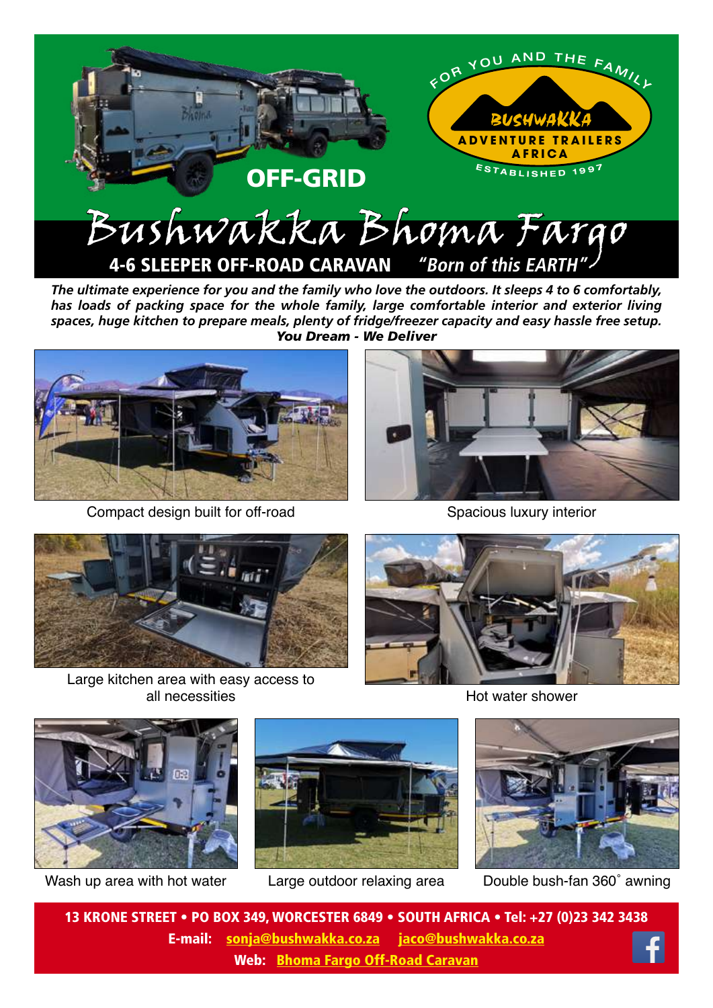

*The ultimate experience for you and the family who love the outdoors. It sleeps 4 to 6 comfortably, has loads of packing space for the whole family, large comfortable interior and exterior living spaces, huge kitchen to prepare meals, plenty of fridge/freezer capacity and easy hassle free setup. You Dream - We Deliver*



Compact design built for off-road



Spacious luxury interior



Large kitchen area with easy access to all necessities



Hot water shower



Wash up area with hot water





Large outdoor relaxing area Double bush-fan 360˚ awning

13 KRONE STREET • PO BOX 349, WORCESTER 6849 • SOUTH AFRICA • Tel: +27 (0)23 342 3438 E-mail: sonja@bushwakka.co.za jaco@bushwakka.co.za Web: Bhoma Farg[o Off-Road Caravan](https://bushwakka.co.za/bhoma-fargo-4x4-off-road-caravan/?utm_source=website&utm_medium=ebrochure&utm_campaign=fargo_page&utm_id=BHOMA_FARGO)